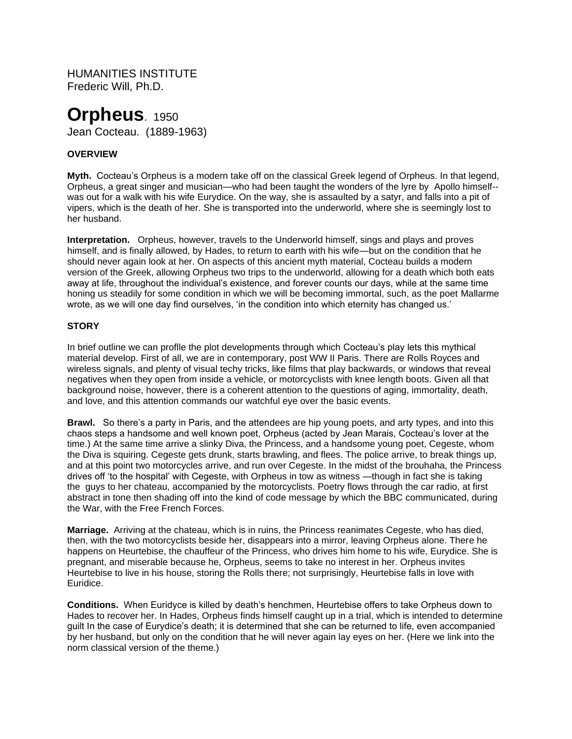HUMANITIES INSTITUTE Frederic Will, Ph.D.

# **Orpheus**. 1950

Jean Cocteau. (1889-1963)

# **OVERVIEW**

**Myth.** Cocteau's Orpheus is a modern take off on the classical Greek legend of Orpheus. In that legend, Orpheus, a great singer and musician—who had been taught the wonders of the lyre by Apollo himself- was out for a walk with his wife Eurydice. On the way, she is assaulted by a satyr, and falls into a pit of vipers, which is the death of her. She is transported into the underworld, where she is seemingly lost to her husband.

**Interpretation.** Orpheus, however, travels to the Underworld himself, sings and plays and proves himself, and is finally allowed, by Hades, to return to earth with his wife—but on the condition that he should never again look at her. On aspects of this ancient myth material, Cocteau builds a modern version of the Greek, allowing Orpheus two trips to the underworld, allowing for a death which both eats away at life, throughout the individual's existence, and forever counts our days, while at the same time honing us steadily for some condition in which we will be becoming immortal, such, as the poet Mallarme wrote, as we will one day find ourselves, 'in the condition into which eternity has changed us.'

## **STORY**

In brief outline we can proflle the plot developments through which Cocteau's play lets this mythical material develop. First of all, we are in contemporary, post WW II Paris. There are Rolls Royces and wireless signals, and plenty of visual techy tricks, like films that play backwards, or windows that reveal negatives when they open from inside a vehicle, or motorcyclists with knee length boots. Given all that background noise, however, there is a coherent attention to the questions of aging, immortality, death, and love, and this attention commands our watchful eye over the basic events.

**Brawl.** So there's a party in Paris, and the attendees are hip young poets, and arty types, and into this chaos steps a handsome and well known poet, Orpheus (acted by Jean Marais, Cocteau's lover at the time.) At the same time arrive a slinky Diva, the Princess, and a handsome young poet, Cegeste, whom the Diva is squiring. Cegeste gets drunk, starts brawling, and flees. The police arrive, to break things up, and at this point two motorcycles arrive, and run over Cegeste. In the midst of the brouhaha, the Princess drives off 'to the hospital' with Cegeste, with Orpheus in tow as witness —though in fact she is taking the guys to her chateau, accompanied by the motorcyclists. Poetry flows through the car radio, at first abstract in tone then shading off into the kind of code message by which the BBC communicated, during the War, with the Free French Forces.

**Marriage.** Arriving at the chateau, which is in ruins, the Princess reanimates Cegeste, who has died, then, with the two motorcyclists beside her, disappears into a mirror, leaving Orpheus alone. There he happens on Heurtebise, the chauffeur of the Princess, who drives him home to his wife, Eurydice. She is pregnant, and miserable because he, Orpheus, seems to take no interest in her. Orpheus invites Heurtebise to live in his house, storing the Rolls there; not surprisingly, Heurtebise falls in love with Euridice.

**Conditions.** When Euridyce is killed by death's henchmen, Heurtebise offers to take Orpheus down to Hades to recover her. In Hades, Orpheus finds himself caught up in a trial, which is intended to determine guilt In the case of Eurydice's death; it is determined that she can be returned to life, even accompanied by her husband, but only on the condition that he will never again lay eyes on her. (Here we link into the norm classical version of the theme.)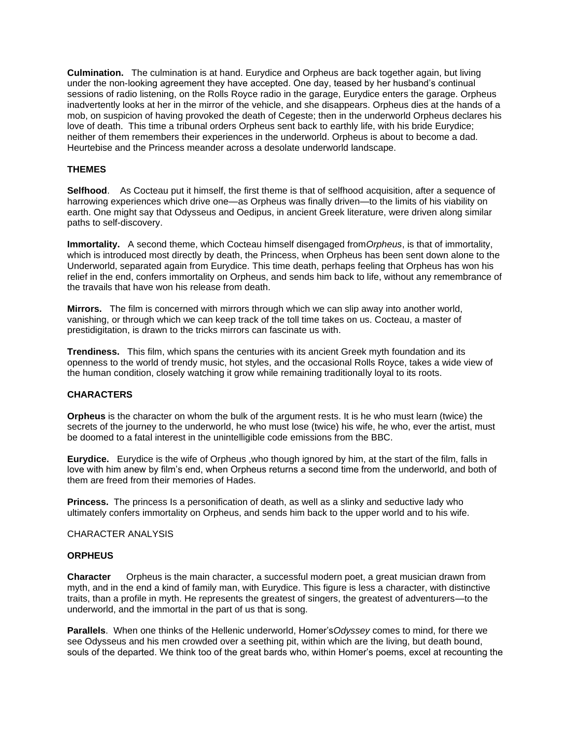**Culmination.** The culmination is at hand. Eurydice and Orpheus are back together again, but living under the non-looking agreement they have accepted. One day, teased by her husband's continual sessions of radio listening, on the Rolls Royce radio in the garage, Eurydice enters the garage. Orpheus inadvertently looks at her in the mirror of the vehicle, and she disappears. Orpheus dies at the hands of a mob, on suspicion of having provoked the death of Cegeste; then in the underworld Orpheus declares his love of death. This time a tribunal orders Orpheus sent back to earthly life, with his bride Eurydice; neither of them remembers their experiences in the underworld. Orpheus is about to become a dad. Heurtebise and the Princess meander across a desolate underworld landscape.

## **THEMES**

**Selfhood**. As Cocteau put it himself, the first theme is that of selfhood acquisition, after a sequence of harrowing experiences which drive one—as Orpheus was finally driven—to the limits of his viability on earth. One might say that Odysseus and Oedipus, in ancient Greek literature, were driven along similar paths to self-discovery.

**Immortality.** A second theme, which Cocteau himself disengaged from*Orpheus*, is that of immortality, which is introduced most directly by death, the Princess, when Orpheus has been sent down alone to the Underworld, separated again from Eurydice. This time death, perhaps feeling that Orpheus has won his relief in the end, confers immortality on Orpheus, and sends him back to life, without any remembrance of the travails that have won his release from death.

**Mirrors.** The film is concerned with mirrors through which we can slip away into another world, vanishing, or through which we can keep track of the toll time takes on us. Cocteau, a master of prestidigitation, is drawn to the tricks mirrors can fascinate us with.

**Trendiness.** This film, which spans the centuries with its ancient Greek myth foundation and its openness to the world of trendy music, hot styles, and the occasional Rolls Royce, takes a wide view of the human condition, closely watching it grow while remaining traditionally loyal to its roots.

## **CHARACTERS**

**Orpheus** is the character on whom the bulk of the argument rests. It is he who must learn (twice) the secrets of the journey to the underworld, he who must lose (twice) his wife, he who, ever the artist, must be doomed to a fatal interest in the unintelligible code emissions from the BBC.

**Eurydice.** Eurydice is the wife of Orpheus ,who though ignored by him, at the start of the film, falls in love with him anew by film's end, when Orpheus returns a second time from the underworld, and both of them are freed from their memories of Hades.

**Princess.** The princess Is a personification of death, as well as a slinky and seductive lady who ultimately confers immortality on Orpheus, and sends him back to the upper world and to his wife.

#### CHARACTER ANALYSIS

### **ORPHEUS**

**Character** Orpheus is the main character, a successful modern poet, a great musician drawn from myth, and in the end a kind of family man, with Eurydice. This figure is less a character, with distinctive traits, than a profile in myth. He represents the greatest of singers, the greatest of adventurers—to the underworld, and the immortal in the part of us that is song.

**Parallels**. When one thinks of the Hellenic underworld, Homer's*Odyssey* comes to mind, for there we see Odysseus and his men crowded over a seething pit, within which are the living, but death bound, souls of the departed. We think too of the great bards who, within Homer's poems, excel at recounting the